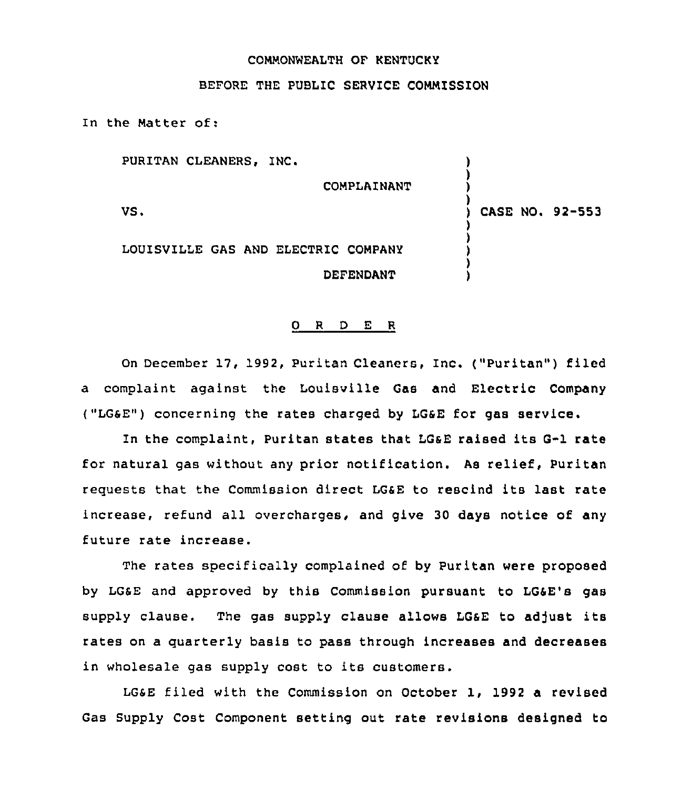## COMMONWEALTH OF KENTUCKY

## BEFORE THE PUBLIC SERVICE COMMISSION

In the Matter of:

PURITAN CLEANERS, INC. COMPLAINANT VS. LOUISVILLE GAS AND ELECTRIC COMPANY DEFENDANT ) ) ) ) ) CASE NO <sup>~</sup> 92-553 ) ) ) ) )

## 0 <sup>R</sup> <sup>D</sup> E <sup>R</sup>

On December 17, 1992, Puritan Cleaners, Inc. ("Puritan") filed a complaint against the Louisville Gas and Electric Company ("LGSE") concerning the rates charged by LGSE for gas service.

In the complaint, Puritan states that LOSE raised its G-1 rate for natural gas without any prior notification. As relief, Puritan requests that the Commission direct LGaE to rescind its last rate increase, refund all overcharges, and give 30 days notice of any future rate increase.

The rates specifically complained of by Puritan were proposed by LG&E and approved by this Commission pursuant to LG&E's gas supply clause. The gas supply clause allows LG6E to adjust its rates on a quarterly basis to pass through increases and decreases in wholesale gas supply cost to its customers.

LGSE filed with the Commission on October 1, 1992 a revised Gas Supply Cost Component setting out rate revisions designed to